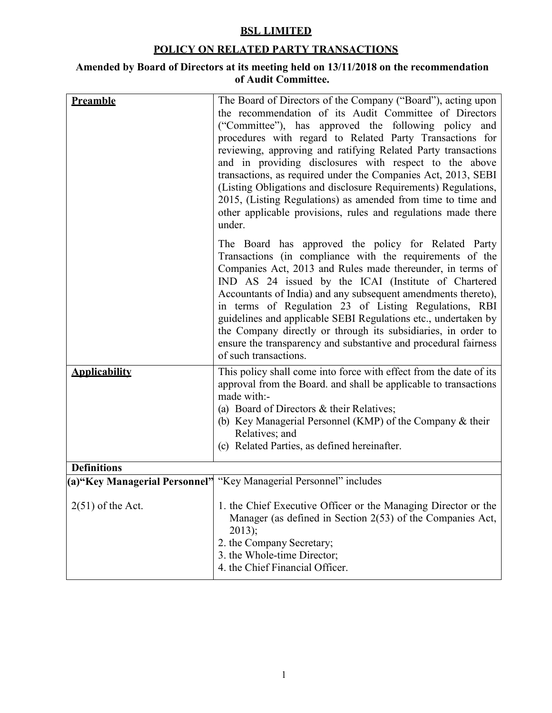## **BSL LIMITED**

## **POLICY ON RELATED PARTY TRANSACTIONS**

## **Amended by Board of Directors at its meeting held on 13/11/2018 on the recommendation of Audit Committee.**

| Preamble             | The Board of Directors of the Company ("Board"), acting upon<br>the recommendation of its Audit Committee of Directors<br>("Committee"), has approved the following policy and<br>procedures with regard to Related Party Transactions for<br>reviewing, approving and ratifying Related Party transactions<br>and in providing disclosures with respect to the above<br>transactions, as required under the Companies Act, 2013, SEBI<br>(Listing Obligations and disclosure Requirements) Regulations,<br>2015, (Listing Regulations) as amended from time to time and<br>other applicable provisions, rules and regulations made there<br>under. |
|----------------------|-----------------------------------------------------------------------------------------------------------------------------------------------------------------------------------------------------------------------------------------------------------------------------------------------------------------------------------------------------------------------------------------------------------------------------------------------------------------------------------------------------------------------------------------------------------------------------------------------------------------------------------------------------|
|                      | The Board has approved the policy for Related Party<br>Transactions (in compliance with the requirements of the<br>Companies Act, 2013 and Rules made thereunder, in terms of<br>IND AS 24 issued by the ICAI (Institute of Chartered<br>Accountants of India) and any subsequent amendments thereto),<br>in terms of Regulation 23 of Listing Regulations, RBI<br>guidelines and applicable SEBI Regulations etc., undertaken by<br>the Company directly or through its subsidiaries, in order to<br>ensure the transparency and substantive and procedural fairness<br>of such transactions.                                                      |
| <b>Applicability</b> | This policy shall come into force with effect from the date of its<br>approval from the Board. and shall be applicable to transactions<br>made with:-<br>(a) Board of Directors $\&$ their Relatives;<br>(b) Key Managerial Personnel (KMP) of the Company & their<br>Relatives; and<br>(c) Related Parties, as defined hereinafter.                                                                                                                                                                                                                                                                                                                |
| <b>Definitions</b>   |                                                                                                                                                                                                                                                                                                                                                                                                                                                                                                                                                                                                                                                     |
|                      | (a) "Key Managerial Personnel" "Key Managerial Personnel" includes                                                                                                                                                                                                                                                                                                                                                                                                                                                                                                                                                                                  |
| $2(51)$ of the Act.  | 1. the Chief Executive Officer or the Managing Director or the<br>Manager (as defined in Section 2(53) of the Companies Act,<br>$2013$ ;<br>2. the Company Secretary;<br>3. the Whole-time Director;<br>4. the Chief Financial Officer.                                                                                                                                                                                                                                                                                                                                                                                                             |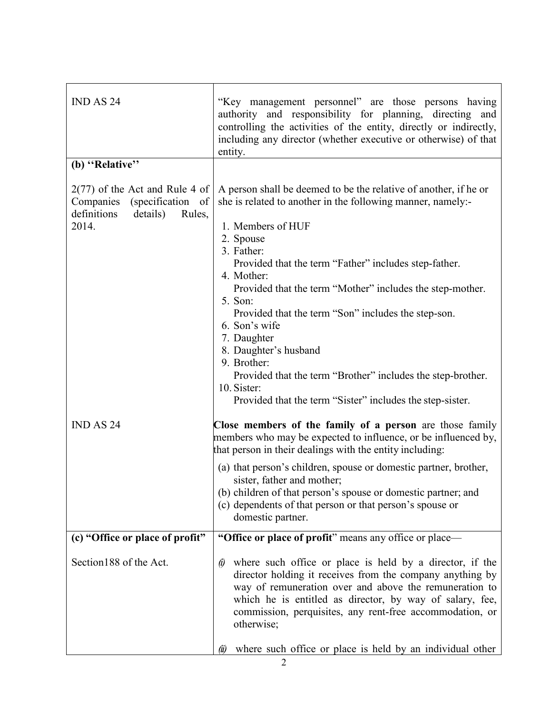| IND AS 24                                                                                                     | "Key management personnel" are those persons having<br>authority and responsibility for planning, directing and<br>controlling the activities of the entity, directly or indirectly,<br>including any director (whether executive or otherwise) of that<br>entity.                                                                                                                                                                                                                                                                                                                                       |
|---------------------------------------------------------------------------------------------------------------|----------------------------------------------------------------------------------------------------------------------------------------------------------------------------------------------------------------------------------------------------------------------------------------------------------------------------------------------------------------------------------------------------------------------------------------------------------------------------------------------------------------------------------------------------------------------------------------------------------|
| (b) "Relative"                                                                                                |                                                                                                                                                                                                                                                                                                                                                                                                                                                                                                                                                                                                          |
| $2(77)$ of the Act and Rule 4 of<br>Companies (specification of<br>definitions<br>details)<br>Rules,<br>2014. | A person shall be deemed to be the relative of another, if he or<br>she is related to another in the following manner, namely:-<br>1. Members of HUF<br>2. Spouse<br>3. Father:<br>Provided that the term "Father" includes step-father.<br>4. Mother:<br>Provided that the term "Mother" includes the step-mother.<br>5. Son:<br>Provided that the term "Son" includes the step-son.<br>6. Son's wife<br>7. Daughter<br>8. Daughter's husband<br>9. Brother:<br>Provided that the term "Brother" includes the step-brother.<br>10. Sister:<br>Provided that the term "Sister" includes the step-sister. |
| <b>IND AS 24</b>                                                                                              | Close members of the family of a person are those family<br>members who may be expected to influence, or be influenced by,<br>that person in their dealings with the entity including:                                                                                                                                                                                                                                                                                                                                                                                                                   |
|                                                                                                               | (a) that person's children, spouse or domestic partner, brother,<br>sister, father and mother;<br>(b) children of that person's spouse or domestic partner; and<br>(c) dependents of that person or that person's spouse or<br>domestic partner.                                                                                                                                                                                                                                                                                                                                                         |
| (c) "Office or place of profit"                                                                               | "Office or place of profit" means any office or place—                                                                                                                                                                                                                                                                                                                                                                                                                                                                                                                                                   |
| Section 188 of the Act.                                                                                       | where such office or place is held by a director, if the<br>$\ddot{\theta}$<br>director holding it receives from the company anything by<br>way of remuneration over and above the remuneration to<br>which he is entitled as director, by way of salary, fee,<br>commission, perquisites, any rent-free accommodation, or<br>otherwise;<br>where such office or place is held by an individual other<br>$(\ddot{u})$                                                                                                                                                                                    |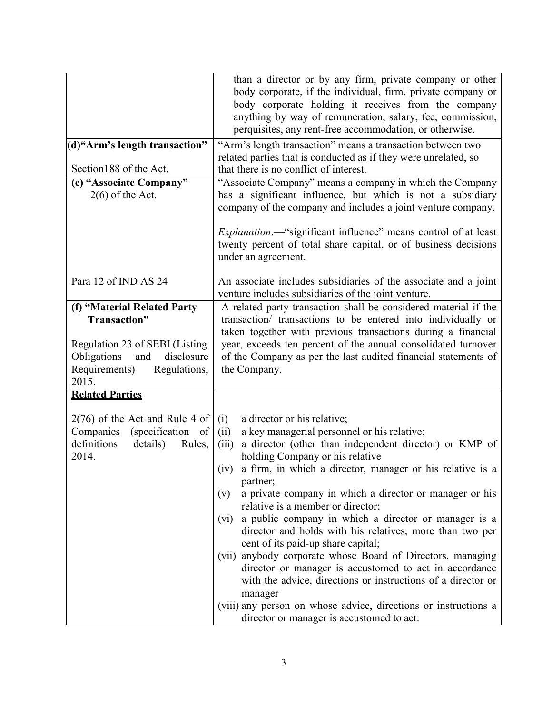| (d)"Arm's length transaction"<br>Section 188 of the Act.<br>(e) "Associate Company"                                                                         | than a director or by any firm, private company or other<br>body corporate, if the individual, firm, private company or<br>body corporate holding it receives from the company<br>anything by way of remuneration, salary, fee, commission,<br>perquisites, any rent-free accommodation, or otherwise.<br>"Arm's length transaction" means a transaction between two<br>related parties that is conducted as if they were unrelated, so<br>that there is no conflict of interest.<br>"Associate Company" means a company in which the Company                                                                                                                                                                                                                                                                                                                                |
|-------------------------------------------------------------------------------------------------------------------------------------------------------------|------------------------------------------------------------------------------------------------------------------------------------------------------------------------------------------------------------------------------------------------------------------------------------------------------------------------------------------------------------------------------------------------------------------------------------------------------------------------------------------------------------------------------------------------------------------------------------------------------------------------------------------------------------------------------------------------------------------------------------------------------------------------------------------------------------------------------------------------------------------------------|
| $2(6)$ of the Act.                                                                                                                                          | has a significant influence, but which is not a subsidiary<br>company of the company and includes a joint venture company.<br><i>Explanation</i> .— "significant influence" means control of at least<br>twenty percent of total share capital, or of business decisions<br>under an agreement.                                                                                                                                                                                                                                                                                                                                                                                                                                                                                                                                                                              |
| Para 12 of IND AS 24                                                                                                                                        | An associate includes subsidiaries of the associate and a joint<br>venture includes subsidiaries of the joint venture.                                                                                                                                                                                                                                                                                                                                                                                                                                                                                                                                                                                                                                                                                                                                                       |
| (f) "Material Related Party<br>Transaction"<br>Regulation 23 of SEBI (Listing<br>Obligations<br>disclosure<br>and<br>Requirements)<br>Regulations,<br>2015. | A related party transaction shall be considered material if the<br>transaction/ transactions to be entered into individually or<br>taken together with previous transactions during a financial<br>year, exceeds ten percent of the annual consolidated turnover<br>of the Company as per the last audited financial statements of<br>the Company.                                                                                                                                                                                                                                                                                                                                                                                                                                                                                                                           |
| <b>Related Parties</b>                                                                                                                                      |                                                                                                                                                                                                                                                                                                                                                                                                                                                                                                                                                                                                                                                                                                                                                                                                                                                                              |
| $2(76)$ of the Act and Rule 4 of<br>Companies<br>(specification of<br>definitions<br>details)<br>Rules,<br>2014.                                            | a director or his relative;<br>(i)<br>a key managerial personnel or his relative;<br>(ii)<br>a director (other than independent director) or KMP of<br>(iii)<br>holding Company or his relative<br>a firm, in which a director, manager or his relative is a<br>(iv)<br>partner;<br>a private company in which a director or manager or his<br>(v)<br>relative is a member or director;<br>a public company in which a director or manager is a<br>(vi)<br>director and holds with his relatives, more than two per<br>cent of its paid-up share capital;<br>(vii) anybody corporate whose Board of Directors, managing<br>director or manager is accustomed to act in accordance<br>with the advice, directions or instructions of a director or<br>manager<br>(viii) any person on whose advice, directions or instructions a<br>director or manager is accustomed to act: |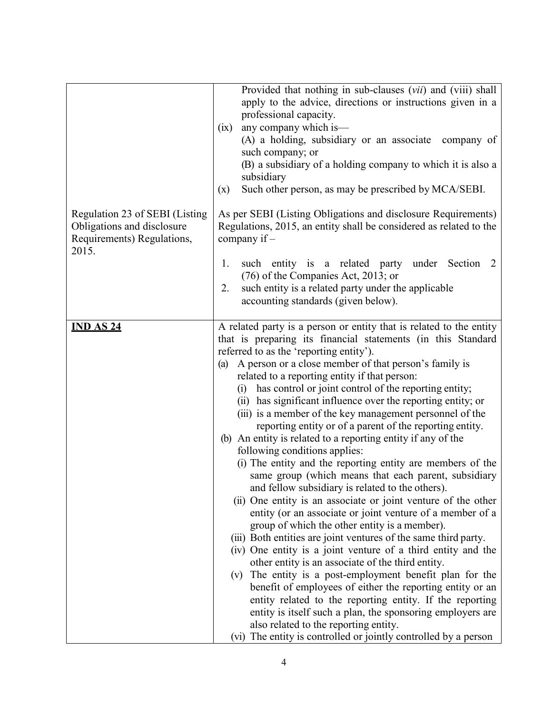|                                                                                                     | Provided that nothing in sub-clauses ( <i>vii</i> ) and (viii) shall<br>apply to the advice, directions or instructions given in a<br>professional capacity.<br>any company which is—<br>(ix)<br>(A) a holding, subsidiary or an associate company of<br>such company; or<br>(B) a subsidiary of a holding company to which it is also a<br>subsidiary                                                                                                                                                                                                                                                                                                                                                                                                                                                                                                                                                                                                                                                                                                                                                                                                                                                                                                                                                                                                                                                                                                                                                                                                                   |
|-----------------------------------------------------------------------------------------------------|--------------------------------------------------------------------------------------------------------------------------------------------------------------------------------------------------------------------------------------------------------------------------------------------------------------------------------------------------------------------------------------------------------------------------------------------------------------------------------------------------------------------------------------------------------------------------------------------------------------------------------------------------------------------------------------------------------------------------------------------------------------------------------------------------------------------------------------------------------------------------------------------------------------------------------------------------------------------------------------------------------------------------------------------------------------------------------------------------------------------------------------------------------------------------------------------------------------------------------------------------------------------------------------------------------------------------------------------------------------------------------------------------------------------------------------------------------------------------------------------------------------------------------------------------------------------------|
|                                                                                                     | Such other person, as may be prescribed by MCA/SEBI.<br>(x)                                                                                                                                                                                                                                                                                                                                                                                                                                                                                                                                                                                                                                                                                                                                                                                                                                                                                                                                                                                                                                                                                                                                                                                                                                                                                                                                                                                                                                                                                                              |
| Regulation 23 of SEBI (Listing<br>Obligations and disclosure<br>Requirements) Regulations,<br>2015. | As per SEBI (Listing Obligations and disclosure Requirements)<br>Regulations, 2015, an entity shall be considered as related to the<br>company if -                                                                                                                                                                                                                                                                                                                                                                                                                                                                                                                                                                                                                                                                                                                                                                                                                                                                                                                                                                                                                                                                                                                                                                                                                                                                                                                                                                                                                      |
|                                                                                                     | such entity is a related party under Section<br>1.<br><sup>2</sup><br>$(76)$ of the Companies Act, 2013; or<br>such entity is a related party under the applicable<br>2.<br>accounting standards (given below).                                                                                                                                                                                                                                                                                                                                                                                                                                                                                                                                                                                                                                                                                                                                                                                                                                                                                                                                                                                                                                                                                                                                                                                                                                                                                                                                                          |
| <b>IND AS 24</b>                                                                                    | A related party is a person or entity that is related to the entity<br>that is preparing its financial statements (in this Standard<br>referred to as the 'reporting entity').<br>A person or a close member of that person's family is<br>(a)<br>related to a reporting entity if that person:<br>(i) has control or joint control of the reporting entity;<br>(ii) has significant influence over the reporting entity; or<br>(iii) is a member of the key management personnel of the<br>reporting entity or of a parent of the reporting entity.<br>(b) An entity is related to a reporting entity if any of the<br>following conditions applies:<br>(i) The entity and the reporting entity are members of the<br>same group (which means that each parent, subsidiary<br>and fellow subsidiary is related to the others).<br>(ii) One entity is an associate or joint venture of the other<br>entity (or an associate or joint venture of a member of a<br>group of which the other entity is a member).<br>(iii) Both entities are joint ventures of the same third party.<br>(iv) One entity is a joint venture of a third entity and the<br>other entity is an associate of the third entity.<br>The entity is a post-employment benefit plan for the<br>(v)<br>benefit of employees of either the reporting entity or an<br>entity related to the reporting entity. If the reporting<br>entity is itself such a plan, the sponsoring employers are<br>also related to the reporting entity.<br>(vi) The entity is controlled or jointly controlled by a person |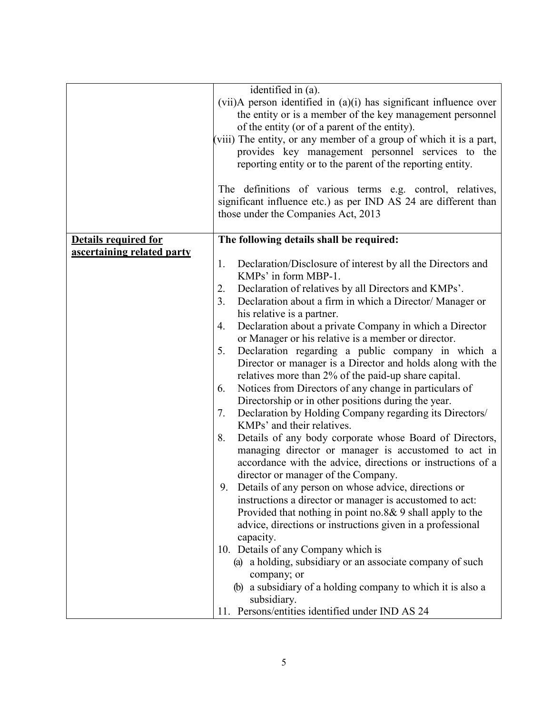|                             | identified in (a).                                                     |
|-----------------------------|------------------------------------------------------------------------|
|                             | $(vii)$ A person identified in $(a)(i)$ has significant influence over |
|                             |                                                                        |
|                             | the entity or is a member of the key management personnel              |
|                             | of the entity (or of a parent of the entity).                          |
|                             | (viii) The entity, or any member of a group of which it is a part,     |
|                             | provides key management personnel services to the                      |
|                             | reporting entity or to the parent of the reporting entity.             |
|                             |                                                                        |
|                             | The definitions of various terms e.g. control, relatives,              |
|                             | significant influence etc.) as per IND AS 24 are different than        |
|                             | those under the Companies Act, 2013                                    |
|                             |                                                                        |
| <b>Details required for</b> | The following details shall be required:                               |
| ascertaining related party  |                                                                        |
|                             | Declaration/Disclosure of interest by all the Directors and<br>1.      |
|                             | KMPs' in form MBP-1.                                                   |
|                             |                                                                        |
|                             | Declaration of relatives by all Directors and KMPs'.<br>2.             |
|                             | 3.<br>Declaration about a firm in which a Director/ Manager or         |
|                             | his relative is a partner.                                             |
|                             | Declaration about a private Company in which a Director<br>4.          |
|                             | or Manager or his relative is a member or director.                    |
|                             | Declaration regarding a public company in which a<br>5.                |
|                             | Director or manager is a Director and holds along with the             |
|                             | relatives more than 2% of the paid-up share capital.                   |
|                             | Notices from Directors of any change in particulars of<br>6.           |
|                             | Directorship or in other positions during the year.                    |
|                             | Declaration by Holding Company regarding its Directors/<br>7.          |
|                             | KMPs' and their relatives.                                             |
|                             |                                                                        |
|                             | Details of any body corporate whose Board of Directors,<br>8.          |
|                             | managing director or manager is accustomed to act in                   |
|                             | accordance with the advice, directions or instructions of a            |
|                             | director or manager of the Company.                                    |
|                             | 9. Details of any person on whose advice, directions or                |
|                             | instructions a director or manager is accustomed to act:               |
|                             | Provided that nothing in point no.8& 9 shall apply to the              |
|                             | advice, directions or instructions given in a professional             |
|                             | capacity.                                                              |
|                             | 10. Details of any Company which is                                    |
|                             | (a) a holding, subsidiary or an associate company of such              |
|                             | company; or                                                            |
|                             | (b) a subsidiary of a holding company to which it is also a            |
|                             | subsidiary.                                                            |
|                             | 11. Persons/entities identified under IND AS 24                        |
|                             |                                                                        |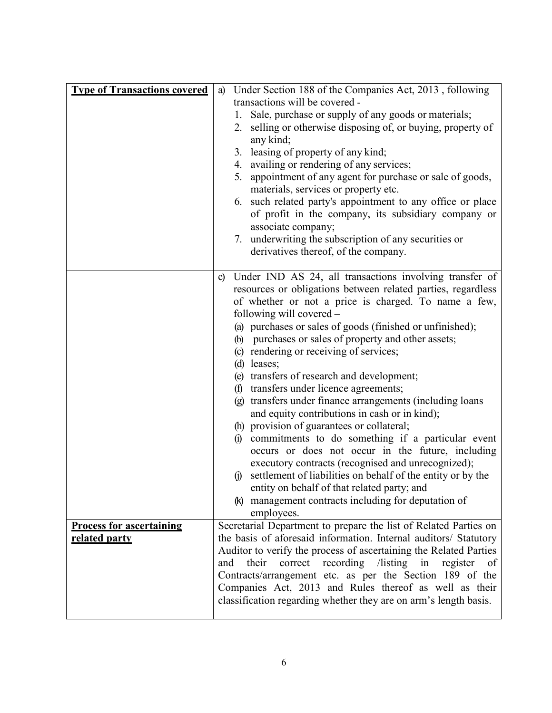| <b>Type of Transactions covered</b>              | Under Section 188 of the Companies Act, 2013, following<br>a)<br>transactions will be covered -<br>1. Sale, purchase or supply of any goods or materials;<br>selling or otherwise disposing of, or buying, property of<br>2.<br>any kind;<br>3. leasing of property of any kind;<br>4. availing or rendering of any services;<br>appointment of any agent for purchase or sale of goods,<br>5.<br>materials, services or property etc.<br>6. such related party's appointment to any office or place<br>of profit in the company, its subsidiary company or<br>associate company;<br>7. underwriting the subscription of any securities or<br>derivatives thereof, of the company.                                                                                                                                                                                                                                                                                                                                                                                                                      |
|--------------------------------------------------|---------------------------------------------------------------------------------------------------------------------------------------------------------------------------------------------------------------------------------------------------------------------------------------------------------------------------------------------------------------------------------------------------------------------------------------------------------------------------------------------------------------------------------------------------------------------------------------------------------------------------------------------------------------------------------------------------------------------------------------------------------------------------------------------------------------------------------------------------------------------------------------------------------------------------------------------------------------------------------------------------------------------------------------------------------------------------------------------------------|
|                                                  | Under IND AS 24, all transactions involving transfer of<br>$\mathbf{c}$<br>resources or obligations between related parties, regardless<br>of whether or not a price is charged. To name a few,<br>following will covered –<br>(a) purchases or sales of goods (finished or unfinished);<br>(b) purchases or sales of property and other assets;<br>(c) rendering or receiving of services;<br>$(d)$ leases;<br>(e) transfers of research and development;<br>(f) transfers under licence agreements;<br>(g) transfers under finance arrangements (including loans<br>and equity contributions in cash or in kind);<br>(h) provision of guarantees or collateral;<br>(i) commitments to do something if a particular event<br>occurs or does not occur in the future, including<br>executory contracts (recognised and unrecognized);<br>settlement of liabilities on behalf of the entity or by the<br>(1)<br>entity on behalf of that related party; and<br>management contracts including for deputation of<br>(K)<br>employees.<br>Secretarial Department to prepare the list of Related Parties on |
| <b>Process for ascertaining</b><br>related party | the basis of aforesaid information. Internal auditors/ Statutory<br>Auditor to verify the process of ascertaining the Related Parties<br>correct recording /listing<br>their<br>register<br>in<br>and<br>of<br>Contracts/arrangement etc. as per the Section 189 of the<br>Companies Act, 2013 and Rules thereof as well as their<br>classification regarding whether they are on arm's length basis.                                                                                                                                                                                                                                                                                                                                                                                                                                                                                                                                                                                                                                                                                                   |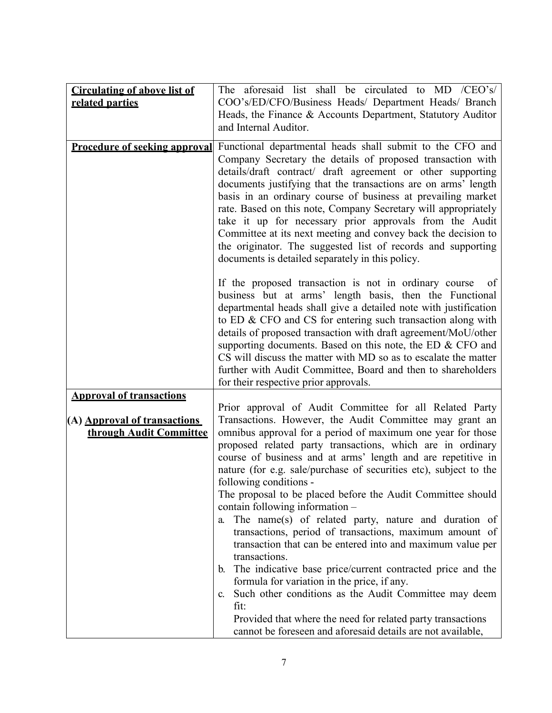| <b>Circulating of above list of</b>  | aforesaid list shall be circulated to MD /CEO's/<br>The                                                               |
|--------------------------------------|-----------------------------------------------------------------------------------------------------------------------|
| related parties                      | COO's/ED/CFO/Business Heads/ Department Heads/ Branch                                                                 |
|                                      | Heads, the Finance & Accounts Department, Statutory Auditor                                                           |
|                                      | and Internal Auditor.                                                                                                 |
| <b>Procedure of seeking approval</b> | Functional departmental heads shall submit to the CFO and                                                             |
|                                      | Company Secretary the details of proposed transaction with                                                            |
|                                      | details/draft contract/ draft agreement or other supporting                                                           |
|                                      | documents justifying that the transactions are on arms' length                                                        |
|                                      | basis in an ordinary course of business at prevailing market                                                          |
|                                      | rate. Based on this note, Company Secretary will appropriately                                                        |
|                                      | take it up for necessary prior approvals from the Audit                                                               |
|                                      | Committee at its next meeting and convey back the decision to                                                         |
|                                      | the originator. The suggested list of records and supporting                                                          |
|                                      | documents is detailed separately in this policy.                                                                      |
|                                      | If the proposed transaction is not in ordinary course<br>of                                                           |
|                                      | business but at arms' length basis, then the Functional                                                               |
|                                      | departmental heads shall give a detailed note with justification                                                      |
|                                      | to ED & CFO and CS for entering such transaction along with                                                           |
|                                      | details of proposed transaction with draft agreement/MoU/other                                                        |
|                                      | supporting documents. Based on this note, the ED & CFO and                                                            |
|                                      | CS will discuss the matter with MD so as to escalate the matter                                                       |
|                                      | further with Audit Committee, Board and then to shareholders                                                          |
|                                      | for their respective prior approvals.                                                                                 |
| <b>Approval of transactions</b>      | Prior approval of Audit Committee for all Related Party                                                               |
| (A) Approval of transactions         | Transactions. However, the Audit Committee may grant an                                                               |
| through Audit Committee              | omnibus approval for a period of maximum one year for those                                                           |
|                                      | proposed related party transactions, which are in ordinary                                                            |
|                                      | course of business and at arms' length and are repetitive in                                                          |
|                                      | nature (for e.g. sale/purchase of securities etc), subject to the                                                     |
|                                      | following conditions -                                                                                                |
|                                      | The proposal to be placed before the Audit Committee should                                                           |
|                                      | contain following information –                                                                                       |
|                                      | The name(s) of related party, nature and duration of<br>a.<br>transactions, period of transactions, maximum amount of |
|                                      | transaction that can be entered into and maximum value per                                                            |
|                                      | transactions.                                                                                                         |
|                                      | The indicative base price/current contracted price and the<br>b.                                                      |
|                                      | formula for variation in the price, if any.                                                                           |
|                                      | Such other conditions as the Audit Committee may deem<br>$C_{\cdot}$                                                  |
|                                      | fit:                                                                                                                  |
|                                      | Provided that where the need for related party transactions                                                           |
|                                      | cannot be foreseen and aforesaid details are not available,                                                           |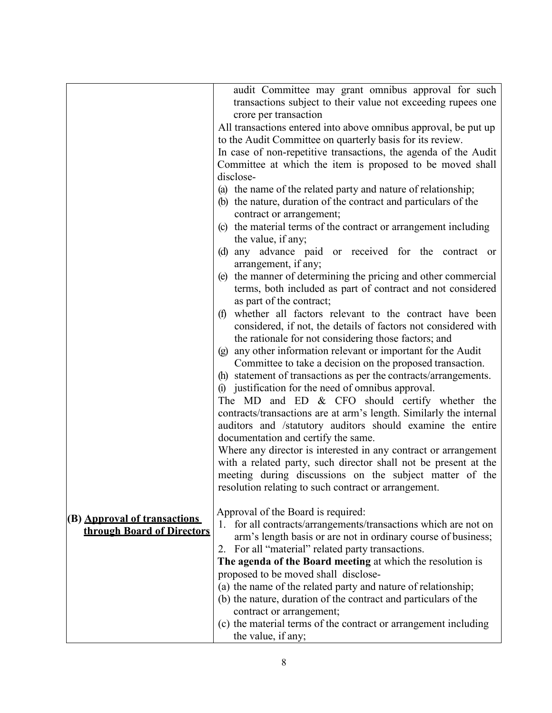|                              | audit Committee may grant omnibus approval for such                |
|------------------------------|--------------------------------------------------------------------|
|                              | transactions subject to their value not exceeding rupees one       |
|                              | crore per transaction                                              |
|                              | All transactions entered into above omnibus approval, be put up    |
|                              | to the Audit Committee on quarterly basis for its review.          |
|                              | In case of non-repetitive transactions, the agenda of the Audit    |
|                              | Committee at which the item is proposed to be moved shall          |
|                              | disclose-                                                          |
|                              | (a) the name of the related party and nature of relationship;      |
|                              | (b) the nature, duration of the contract and particulars of the    |
|                              |                                                                    |
|                              | contract or arrangement;                                           |
|                              | (c) the material terms of the contract or arrangement including    |
|                              | the value, if any;                                                 |
|                              | (d) any advance paid or received for the contract or               |
|                              | arrangement, if any;                                               |
|                              | (e) the manner of determining the pricing and other commercial     |
|                              | terms, both included as part of contract and not considered        |
|                              | as part of the contract;                                           |
|                              | whether all factors relevant to the contract have been<br>(f)      |
|                              | considered, if not, the details of factors not considered with     |
|                              | the rationale for not considering those factors; and               |
|                              | (g) any other information relevant or important for the Audit      |
|                              | Committee to take a decision on the proposed transaction.          |
|                              | (h) statement of transactions as per the contracts/arrangements.   |
|                              | (i) justification for the need of omnibus approval.                |
|                              | The MD and ED $&$ CFO should certify whether the                   |
|                              | contracts/transactions are at arm's length. Similarly the internal |
|                              | auditors and /statutory auditors should examine the entire         |
|                              | documentation and certify the same.                                |
|                              | Where any director is interested in any contract or arrangement    |
|                              | with a related party, such director shall not be present at the    |
|                              | meeting during discussions on the subject matter of the            |
|                              | resolution relating to such contract or arrangement.               |
|                              |                                                                    |
|                              | Approval of the Board is required:                                 |
| (B) Approval of transactions | for all contracts/arrangements/transactions which are not on       |
| through Board of Directors   | arm's length basis or are not in ordinary course of business;      |
|                              | 2. For all "material" related party transactions.                  |
|                              |                                                                    |
|                              | The agenda of the Board meeting at which the resolution is         |
|                              | proposed to be moved shall disclose-                               |
|                              | (a) the name of the related party and nature of relationship;      |
|                              | (b) the nature, duration of the contract and particulars of the    |
|                              | contract or arrangement;                                           |
|                              | (c) the material terms of the contract or arrangement including    |
|                              | the value, if any;                                                 |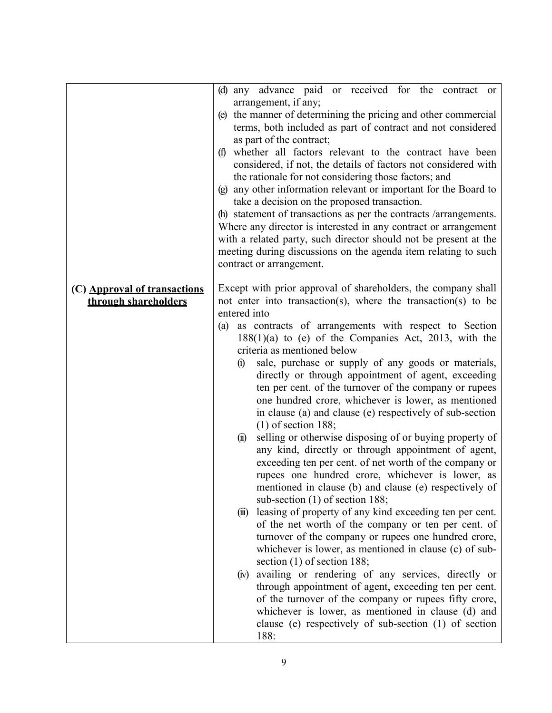|                              | any advance paid or received for the contract or<br>(d)                                                                      |
|------------------------------|------------------------------------------------------------------------------------------------------------------------------|
|                              | arrangement, if any;                                                                                                         |
|                              | (e) the manner of determining the pricing and other commercial                                                               |
|                              | terms, both included as part of contract and not considered                                                                  |
|                              | as part of the contract;                                                                                                     |
|                              | (f) whether all factors relevant to the contract have been<br>considered, if not, the details of factors not considered with |
|                              | the rationale for not considering those factors; and                                                                         |
|                              | (g) any other information relevant or important for the Board to                                                             |
|                              | take a decision on the proposed transaction.                                                                                 |
|                              | (h) statement of transactions as per the contracts /arrangements.                                                            |
|                              | Where any director is interested in any contract or arrangement                                                              |
|                              | with a related party, such director should not be present at the                                                             |
|                              | meeting during discussions on the agenda item relating to such                                                               |
|                              | contract or arrangement.                                                                                                     |
| (C) Approval of transactions | Except with prior approval of shareholders, the company shall                                                                |
| through shareholders         | not enter into transaction(s), where the transaction(s) to be                                                                |
|                              | entered into                                                                                                                 |
|                              | as contracts of arrangements with respect to Section<br>(a)                                                                  |
|                              | $188(1)(a)$ to (e) of the Companies Act, 2013, with the                                                                      |
|                              | criteria as mentioned below -                                                                                                |
|                              | sale, purchase or supply of any goods or materials,<br>$\Omega$                                                              |
|                              | directly or through appointment of agent, exceeding                                                                          |
|                              | ten per cent. of the turnover of the company or rupees                                                                       |
|                              | one hundred crore, whichever is lower, as mentioned<br>in clause (a) and clause (e) respectively of sub-section              |
|                              | $(1)$ of section 188;                                                                                                        |
|                              | selling or otherwise disposing of or buying property of<br>$\left( \mathbf{u} \right)$                                       |
|                              | any kind, directly or through appointment of agent,                                                                          |
|                              | exceeding ten per cent. of net worth of the company or                                                                       |
|                              | rupees one hundred crore, whichever is lower, as                                                                             |
|                              | mentioned in clause (b) and clause (e) respectively of                                                                       |
|                              | sub-section (1) of section 188;                                                                                              |
|                              | leasing of property of any kind exceeding ten per cent.<br>$(\mathbf{m})$                                                    |
|                              | of the net worth of the company or ten per cent. of                                                                          |
|                              | turnover of the company or rupees one hundred crore,<br>whichever is lower, as mentioned in clause (c) of sub-               |
|                              | section $(1)$ of section 188;                                                                                                |
|                              | availing or rendering of any services, directly or<br>(iv)                                                                   |
|                              | through appointment of agent, exceeding ten per cent.                                                                        |
|                              | of the turnover of the company or rupees fifty crore,                                                                        |
|                              | whichever is lower, as mentioned in clause (d) and                                                                           |
|                              | clause (e) respectively of sub-section (1) of section                                                                        |
|                              | 188:                                                                                                                         |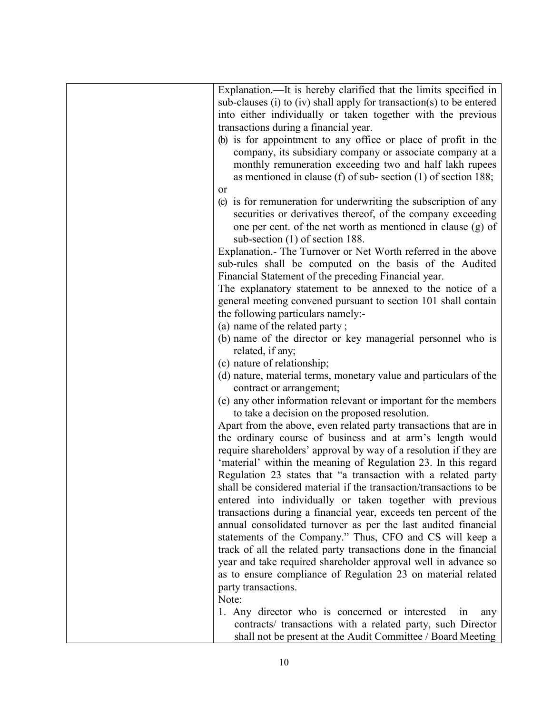| Explanation.—It is hereby clarified that the limits specified in     |
|----------------------------------------------------------------------|
| sub-clauses (i) to (iv) shall apply for transaction(s) to be entered |
| into either individually or taken together with the previous         |
| transactions during a financial year.                                |
| (b) is for appointment to any office or place of profit in the       |
| company, its subsidiary company or associate company at a            |
| monthly remuneration exceeding two and half lakh rupees              |
| as mentioned in clause (f) of sub-section $(1)$ of section 188;      |
| or                                                                   |
| (c) is for remuneration for underwriting the subscription of any     |
| securities or derivatives thereof, of the company exceeding          |
| one per cent. of the net worth as mentioned in clause (g) of         |
| sub-section $(1)$ of section 188.                                    |
| Explanation. The Turnover or Net Worth referred in the above         |
| sub-rules shall be computed on the basis of the Audited              |
| Financial Statement of the preceding Financial year.                 |
| The explanatory statement to be annexed to the notice of a           |
| general meeting convened pursuant to section 101 shall contain       |
| the following particulars namely:-                                   |
| (a) name of the related party;                                       |
| (b) name of the director or key managerial personnel who is          |
| related, if any;                                                     |
| (c) nature of relationship;                                          |
| (d) nature, material terms, monetary value and particulars of the    |
| contract or arrangement;                                             |
| (e) any other information relevant or important for the members      |
| to take a decision on the proposed resolution.                       |
| Apart from the above, even related party transactions that are in    |
| the ordinary course of business and at arm's length would            |
| require shareholders' approval by way of a resolution if they are    |
| 'material' within the meaning of Regulation 23. In this regard       |
| Regulation 23 states that "a transaction with a related party        |
| shall be considered material if the transaction/transactions to be   |
| entered into individually or taken together with previous            |
| transactions during a financial year, exceeds ten percent of the     |
| annual consolidated turnover as per the last audited financial       |
| statements of the Company." Thus, CFO and CS will keep a             |
| track of all the related party transactions done in the financial    |
| year and take required shareholder approval well in advance so       |
| as to ensure compliance of Regulation 23 on material related         |
| party transactions.                                                  |
| Note:                                                                |
| 1. Any director who is concerned or interested<br>1n<br>any          |
| contracts/ transactions with a related party, such Director          |
| shall not be present at the Audit Committee / Board Meeting          |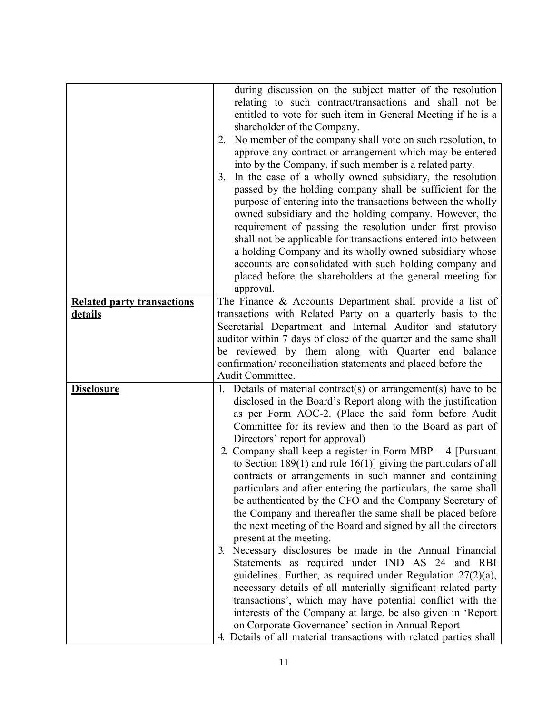|                                                     | during discussion on the subject matter of the resolution<br>relating to such contract/transactions and shall not be<br>entitled to vote for such item in General Meeting if he is a<br>shareholder of the Company.<br>No member of the company shall vote on such resolution, to<br>2.<br>approve any contract or arrangement which may be entered<br>into by the Company, if such member is a related party.<br>In the case of a wholly owned subsidiary, the resolution<br>3.<br>passed by the holding company shall be sufficient for the<br>purpose of entering into the transactions between the wholly                                                                                                                                                                                                                                                                                                                                                                                                                                                                                                                                                                                                                                                                                         |
|-----------------------------------------------------|-------------------------------------------------------------------------------------------------------------------------------------------------------------------------------------------------------------------------------------------------------------------------------------------------------------------------------------------------------------------------------------------------------------------------------------------------------------------------------------------------------------------------------------------------------------------------------------------------------------------------------------------------------------------------------------------------------------------------------------------------------------------------------------------------------------------------------------------------------------------------------------------------------------------------------------------------------------------------------------------------------------------------------------------------------------------------------------------------------------------------------------------------------------------------------------------------------------------------------------------------------------------------------------------------------|
|                                                     | owned subsidiary and the holding company. However, the<br>requirement of passing the resolution under first proviso<br>shall not be applicable for transactions entered into between<br>a holding Company and its wholly owned subsidiary whose<br>accounts are consolidated with such holding company and<br>placed before the shareholders at the general meeting for<br>approval.                                                                                                                                                                                                                                                                                                                                                                                                                                                                                                                                                                                                                                                                                                                                                                                                                                                                                                                  |
| <b>Related party transactions</b><br><b>details</b> | The Finance $\&$ Accounts Department shall provide a list of<br>transactions with Related Party on a quarterly basis to the<br>Secretarial Department and Internal Auditor and statutory<br>auditor within 7 days of close of the quarter and the same shall<br>be reviewed by them along with Quarter end balance<br>confirmation/reconciliation statements and placed before the<br>Audit Committee.                                                                                                                                                                                                                                                                                                                                                                                                                                                                                                                                                                                                                                                                                                                                                                                                                                                                                                |
| <b>Disclosure</b>                                   | 1. Details of material contract(s) or arrangement(s) have to be<br>disclosed in the Board's Report along with the justification<br>as per Form AOC-2. (Place the said form before Audit<br>Committee for its review and then to the Board as part of<br>Directors' report for approval)<br>2. Company shall keep a register in Form MBP $-$ 4 [Pursuant]<br>to Section 189(1) and rule 16(1)] giving the particulars of all<br>contracts or arrangements in such manner and containing<br>particulars and after entering the particulars, the same shall<br>be authenticated by the CFO and the Company Secretary of<br>the Company and thereafter the same shall be placed before<br>the next meeting of the Board and signed by all the directors<br>present at the meeting.<br>Necessary disclosures be made in the Annual Financial<br>$\mathfrak{Z}$<br>Statements as required under IND AS 24 and RBI<br>guidelines. Further, as required under Regulation $27(2)(a)$ ,<br>necessary details of all materially significant related party<br>transactions', which may have potential conflict with the<br>interests of the Company at large, be also given in 'Report<br>on Corporate Governance' section in Annual Report<br>4. Details of all material transactions with related parties shall |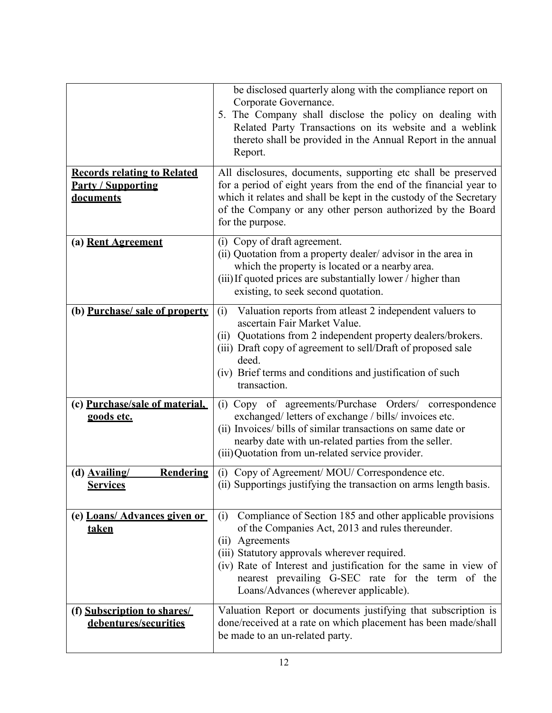|                                                                                     | be disclosed quarterly along with the compliance report on<br>Corporate Governance.<br>5. The Company shall disclose the policy on dealing with<br>Related Party Transactions on its website and a weblink<br>thereto shall be provided in the Annual Report in the annual<br>Report.                                                                    |
|-------------------------------------------------------------------------------------|----------------------------------------------------------------------------------------------------------------------------------------------------------------------------------------------------------------------------------------------------------------------------------------------------------------------------------------------------------|
| <b>Records relating to Related</b><br><b>Party / Supporting</b><br><b>documents</b> | All disclosures, documents, supporting etc shall be preserved<br>for a period of eight years from the end of the financial year to<br>which it relates and shall be kept in the custody of the Secretary<br>of the Company or any other person authorized by the Board<br>for the purpose.                                                               |
| (a) Rent Agreement                                                                  | (i) Copy of draft agreement.<br>(ii) Quotation from a property dealer/advisor in the area in<br>which the property is located or a nearby area.<br>(iii) If quoted prices are substantially lower / higher than<br>existing, to seek second quotation.                                                                                                   |
| (b) Purchase/ sale of property                                                      | Valuation reports from atleast 2 independent valuers to<br>(i)<br>ascertain Fair Market Value.<br>(ii) Quotations from 2 independent property dealers/brokers.<br>(iii) Draft copy of agreement to sell/Draft of proposed sale<br>deed.<br>(iv) Brief terms and conditions and justification of such<br>transaction.                                     |
| (c) Purchase/sale of material,<br>goods etc.                                        | (i) Copy of agreements/Purchase Orders/ correspondence<br>exchanged/ letters of exchange / bills/ invoices etc.<br>(ii) Invoices/ bills of similar transactions on same date or<br>nearby date with un-related parties from the seller.<br>(iii) Quotation from un-related service provider.                                                             |
| $(d)$ Availing/<br><b>Rendering</b><br><b>Services</b>                              | (i) Copy of Agreement/MOU/Correspondence etc.<br>(ii) Supportings justifying the transaction on arms length basis.                                                                                                                                                                                                                                       |
| (e) Loans/ Advances given or<br><u>taken</u>                                        | Compliance of Section 185 and other applicable provisions<br>(i)<br>of the Companies Act, 2013 and rules thereunder.<br>(ii) Agreements<br>(iii) Statutory approvals wherever required.<br>(iv) Rate of Interest and justification for the same in view of<br>nearest prevailing G-SEC rate for the term of the<br>Loans/Advances (wherever applicable). |
| (f) Subscription to shares/<br>debentures/securities                                | Valuation Report or documents justifying that subscription is<br>done/received at a rate on which placement has been made/shall<br>be made to an un-related party.                                                                                                                                                                                       |